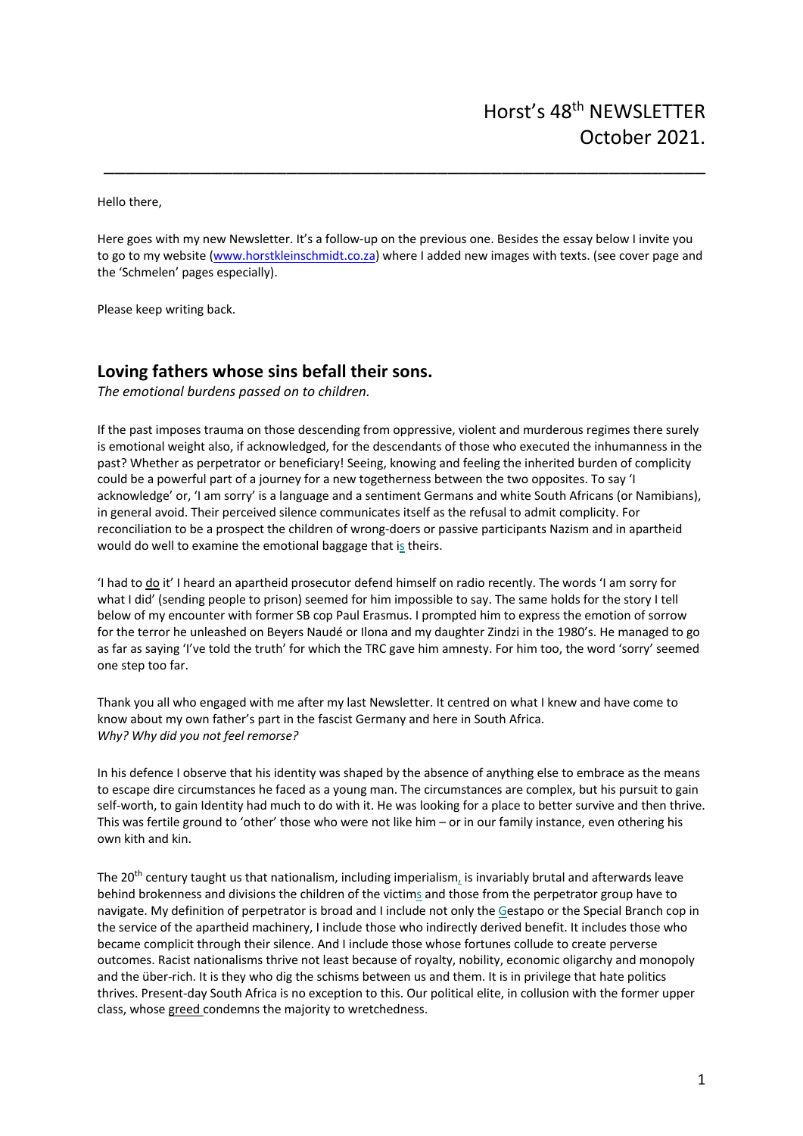Hello there,

Here goes with my new Newsletter. It's a follow-up on the previous one. Besides the essay below I invite you to go to my website (www.horstkleinschmidt.co.za) where I added new images with texts. (see cover page and the 'Schmelen' pages especially).

\_\_\_\_\_\_\_\_\_\_\_\_\_\_\_\_\_\_\_\_\_\_\_\_\_\_\_\_\_\_\_\_\_\_\_\_\_\_\_\_\_\_\_\_\_\_\_\_\_\_\_\_\_\_\_\_

Please keep writing back.

## **Loving fathers whose sins befall their sons.**

*The emotional burdens passed on to children.*

If the past imposes trauma on those descending from oppressive, violent and murderous regimes there surely is emotional weight also, if acknowledged, for the descendants of those who executed the inhumanness in the past? Whether as perpetrator or beneficiary! Seeing, knowing and feeling the inherited burden of complicity could be a powerful part of a journey for a new togetherness between the two opposites. To say 'I acknowledge' or, 'I am sorry' is a language and a sentiment Germans and white South Africans (or Namibians), in general avoid. Their perceived silence communicates itself as the refusal to admit complicity. For reconciliation to be a prospect the children of wrong-doers or passive participants Nazism and in apartheid would do well to examine the emotional baggage that is theirs.

'I had to do it' I heard an apartheid prosecutor defend himself on radio recently. The words 'I am sorry for what I did' (sending people to prison) seemed for him impossible to say. The same holds for the story I tell below of my encounter with former SB cop Paul Erasmus. I prompted him to express the emotion of sorrow for the terror he unleashed on Beyers Naudé or Ilona and my daughter Zindzi in the 1980's. He managed to go as far as saying 'I've told the truth' for which the TRC gave him amnesty. For him too, the word 'sorry' seemed one step too far.

Thank you all who engaged with me after my last Newsletter. It centred on what I knew and have come to know about my own father's part in the fascist Germany and here in South Africa. *Why? Why did you not feel remorse?*

In his defence I observe that his identity was shaped by the absence of anything else to embrace as the means to escape dire circumstances he faced as a young man. The circumstances are complex, but his pursuit to gain self-worth, to gain Identity had much to do with it. He was looking for a place to better survive and then thrive. This was fertile ground to 'other' those who were not like him – or in our family instance, even othering his own kith and kin.

The 20<sup>th</sup> century taught us that nationalism, including imperialism, is invariably brutal and afterwards leave behind brokenness and divisions the children of the victims and those from the perpetrator group have to navigate. My definition of perpetrator is broad and I include not only the Gestapo or the Special Branch cop in the service of the apartheid machinery, I include those who indirectly derived benefit. It includes those who became complicit through their silence. And I include those whose fortunes collude to create perverse outcomes. Racist nationalisms thrive not least because of royalty, nobility, economic oligarchy and monopoly and the über-rich. It is they who dig the schisms between us and them. It is in privilege that hate politics thrives. Present-day South Africa is no exception to this. Our political elite, in collusion with the former upper class, whose greed condemns the majority to wretchedness.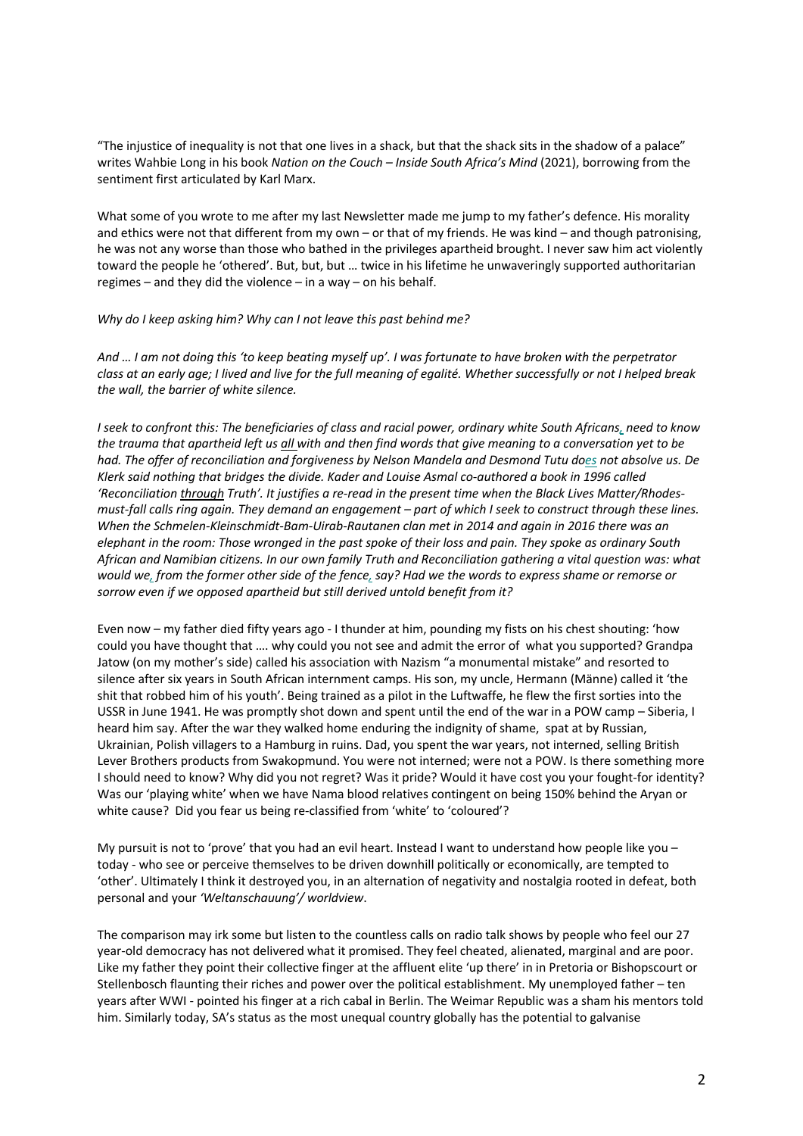"The injustice of inequality is not that one lives in a shack, but that the shack sits in the shadow of a palace" writes Wahbie Long in his book *Nation on the Couch – Inside South Africa's Mind* (2021), borrowing from the sentiment first articulated by Karl Marx.

What some of you wrote to me after my last Newsletter made me jump to my father's defence. His morality and ethics were not that different from my own – or that of my friends. He was kind – and though patronising, he was not any worse than those who bathed in the privileges apartheid brought. I never saw him act violently toward the people he 'othered'. But, but, but … twice in his lifetime he unwaveringly supported authoritarian regimes – and they did the violence – in a way – on his behalf.

## *Why do I keep asking him? Why can I not leave this past behind me?*

*And … I am not doing this 'to keep beating myself up'. I was fortunate to have broken with the perpetrator class at an early age; I lived and live for the full meaning of egalité. Whether successfully or not I helped break the wall, the barrier of white silence.*

*I seek to confront this: The beneficiaries of class and racial power, ordinary white South Africans, need to know the trauma that apartheid left us all with and then find words that give meaning to a conversation yet to be had. The offer of reconciliation and forgiveness by Nelson Mandela and Desmond Tutu does not absolve us. De Klerk said nothing that bridges the divide. Kader and Louise Asmal co-authored a book in 1996 called 'Reconciliation through Truth'. It justifies a re-read in the present time when the Black Lives Matter/Rhodesmust-fall calls ring again. They demand an engagement – part of which I seek to construct through these lines. When the Schmelen-Kleinschmidt-Bam-Uirab-Rautanen clan met in 2014 and again in 2016 there was an elephant in the room: Those wronged in the past spoke of their loss and pain. They spoke as ordinary South African and Namibian citizens. In our own family Truth and Reconciliation gathering a vital question was: what would we, from the former other side of the fence, say? Had we the words to express shame or remorse or sorrow even if we opposed apartheid but still derived untold benefit from it?*

Even now – my father died fifty years ago - I thunder at him, pounding my fists on his chest shouting: 'how could you have thought that …. why could you not see and admit the error of what you supported? Grandpa Jatow (on my mother's side) called his association with Nazism "a monumental mistake" and resorted to silence after six years in South African internment camps. His son, my uncle, Hermann (Männe) called it 'the shit that robbed him of his youth'. Being trained as a pilot in the Luftwaffe, he flew the first sorties into the USSR in June 1941. He was promptly shot down and spent until the end of the war in a POW camp – Siberia, I heard him say. After the war they walked home enduring the indignity of shame, spat at by Russian, Ukrainian, Polish villagers to a Hamburg in ruins. Dad, you spent the war years, not interned, selling British Lever Brothers products from Swakopmund. You were not interned; were not a POW. Is there something more I should need to know? Why did you not regret? Was it pride? Would it have cost you your fought-for identity? Was our 'playing white' when we have Nama blood relatives contingent on being 150% behind the Aryan or white cause? Did you fear us being re-classified from 'white' to 'coloured'?

My pursuit is not to 'prove' that you had an evil heart. Instead I want to understand how people like you – today - who see or perceive themselves to be driven downhill politically or economically, are tempted to 'other'. Ultimately I think it destroyed you, in an alternation of negativity and nostalgia rooted in defeat, both personal and your *'Weltanschauung'/ worldview*.

The comparison may irk some but listen to the countless calls on radio talk shows by people who feel our 27 year-old democracy has not delivered what it promised. They feel cheated, alienated, marginal and are poor. Like my father they point their collective finger at the affluent elite 'up there' in in Pretoria or Bishopscourt or Stellenbosch flaunting their riches and power over the political establishment. My unemployed father – ten years after WWI - pointed his finger at a rich cabal in Berlin. The Weimar Republic was a sham his mentors told him. Similarly today, SA's status as the most unequal country globally has the potential to galvanise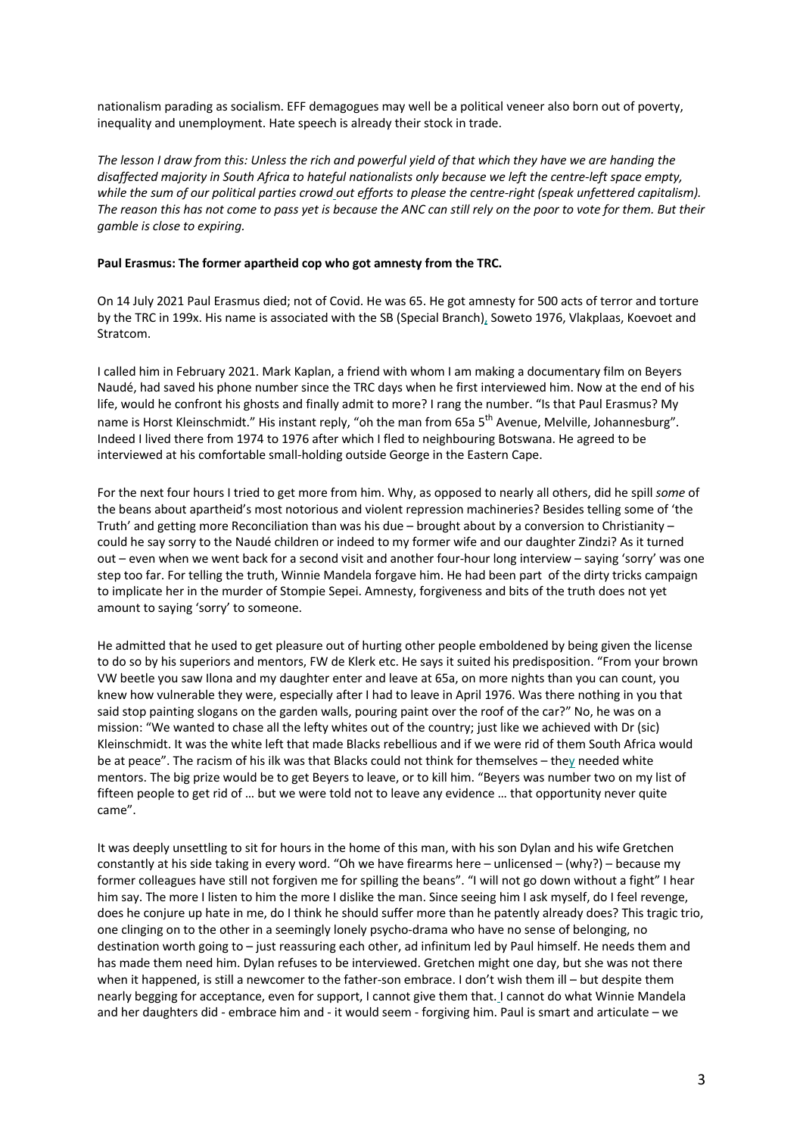nationalism parading as socialism. EFF demagogues may well be a political veneer also born out of poverty, inequality and unemployment. Hate speech is already their stock in trade.

*The lesson I draw from this: Unless the rich and powerful yield of that which they have we are handing the disaffected majority in South Africa to hateful nationalists only because we left the centre-left space empty, while the sum of our political parties crowd out efforts to please the centre-right (speak unfettered capitalism). The reason this has not come to pass yet is because the ANC can still rely on the poor to vote for them. But their gamble is close to expiring.*

## **Paul Erasmus: The former apartheid cop who got amnesty from the TRC.**

On 14 July 2021 Paul Erasmus died; not of Covid. He was 65. He got amnesty for 500 acts of terror and torture by the TRC in 199x. His name is associated with the SB (Special Branch), Soweto 1976, Vlakplaas, Koevoet and Stratcom.

I called him in February 2021. Mark Kaplan, a friend with whom I am making a documentary film on Beyers Naudé, had saved his phone number since the TRC days when he first interviewed him. Now at the end of his life, would he confront his ghosts and finally admit to more? I rang the number. "Is that Paul Erasmus? My name is Horst Kleinschmidt." His instant reply, "oh the man from 65a 5<sup>th</sup> Avenue, Melville, Johannesburg". Indeed I lived there from 1974 to 1976 after which I fled to neighbouring Botswana. He agreed to be interviewed at his comfortable small-holding outside George in the Eastern Cape.

For the next four hours I tried to get more from him. Why, as opposed to nearly all others, did he spill *some* of the beans about apartheid's most notorious and violent repression machineries? Besides telling some of 'the Truth' and getting more Reconciliation than was his due – brought about by a conversion to Christianity – could he say sorry to the Naudé children or indeed to my former wife and our daughter Zindzi? As it turned out – even when we went back for a second visit and another four-hour long interview – saying 'sorry' was one step too far. For telling the truth, Winnie Mandela forgave him. He had been part of the dirty tricks campaign to implicate her in the murder of Stompie Sepei. Amnesty, forgiveness and bits of the truth does not yet amount to saying 'sorry' to someone.

He admitted that he used to get pleasure out of hurting other people emboldened by being given the license to do so by his superiors and mentors, FW de Klerk etc. He says it suited his predisposition. "From your brown VW beetle you saw Ilona and my daughter enter and leave at 65a, on more nights than you can count, you knew how vulnerable they were, especially after I had to leave in April 1976. Was there nothing in you that said stop painting slogans on the garden walls, pouring paint over the roof of the car?" No, he was on a mission: "We wanted to chase all the lefty whites out of the country; just like we achieved with Dr (sic) Kleinschmidt. It was the white left that made Blacks rebellious and if we were rid of them South Africa would be at peace". The racism of his ilk was that Blacks could not think for themselves – they needed white mentors. The big prize would be to get Beyers to leave, or to kill him. "Beyers was number two on my list of fifteen people to get rid of … but we were told not to leave any evidence … that opportunity never quite came".

It was deeply unsettling to sit for hours in the home of this man, with his son Dylan and his wife Gretchen constantly at his side taking in every word. "Oh we have firearms here – unlicensed – (why?) – because my former colleagues have still not forgiven me for spilling the beans". "I will not go down without a fight" I hear him say. The more I listen to him the more I dislike the man. Since seeing him I ask myself, do I feel revenge, does he conjure up hate in me, do I think he should suffer more than he patently already does? This tragic trio, one clinging on to the other in a seemingly lonely psycho-drama who have no sense of belonging, no destination worth going to – just reassuring each other, ad infinitum led by Paul himself. He needs them and has made them need him. Dylan refuses to be interviewed. Gretchen might one day, but she was not there when it happened, is still a newcomer to the father-son embrace. I don't wish them ill – but despite them nearly begging for acceptance, even for support, I cannot give them that. I cannot do what Winnie Mandela and her daughters did - embrace him and - it would seem - forgiving him. Paul is smart and articulate – we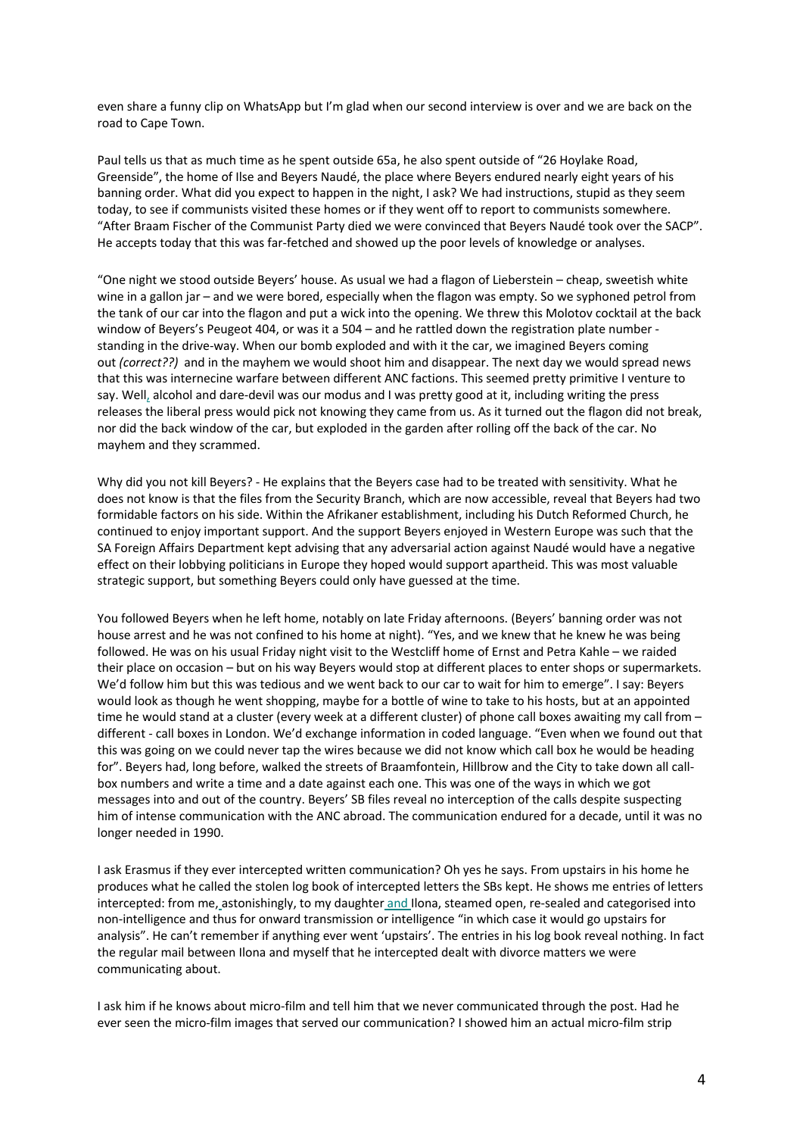even share a funny clip on WhatsApp but I'm glad when our second interview is over and we are back on the road to Cape Town.

Paul tells us that as much time as he spent outside 65a, he also spent outside of "26 Hoylake Road, Greenside", the home of Ilse and Beyers Naudé, the place where Beyers endured nearly eight years of his banning order. What did you expect to happen in the night, I ask? We had instructions, stupid as they seem today, to see if communists visited these homes or if they went off to report to communists somewhere. "After Braam Fischer of the Communist Party died we were convinced that Beyers Naudé took over the SACP". He accepts today that this was far-fetched and showed up the poor levels of knowledge or analyses.

"One night we stood outside Beyers' house. As usual we had a flagon of Lieberstein – cheap, sweetish white wine in a gallon jar – and we were bored, especially when the flagon was empty. So we syphoned petrol from the tank of our car into the flagon and put a wick into the opening. We threw this Molotov cocktail at the back window of Beyers's Peugeot 404, or was it a 504 – and he rattled down the registration plate number standing in the drive-way. When our bomb exploded and with it the car, we imagined Beyers coming out *(correct??)* and in the mayhem we would shoot him and disappear. The next day we would spread news that this was internecine warfare between different ANC factions. This seemed pretty primitive I venture to say. Well, alcohol and dare-devil was our modus and I was pretty good at it, including writing the press releases the liberal press would pick not knowing they came from us. As it turned out the flagon did not break, nor did the back window of the car, but exploded in the garden after rolling off the back of the car. No mayhem and they scrammed.

Why did you not kill Beyers? - He explains that the Beyers case had to be treated with sensitivity. What he does not know is that the files from the Security Branch, which are now accessible, reveal that Beyers had two formidable factors on his side. Within the Afrikaner establishment, including his Dutch Reformed Church, he continued to enjoy important support. And the support Beyers enjoyed in Western Europe was such that the SA Foreign Affairs Department kept advising that any adversarial action against Naudé would have a negative effect on their lobbying politicians in Europe they hoped would support apartheid. This was most valuable strategic support, but something Beyers could only have guessed at the time.

You followed Beyers when he left home, notably on late Friday afternoons. (Beyers' banning order was not house arrest and he was not confined to his home at night). "Yes, and we knew that he knew he was being followed. He was on his usual Friday night visit to the Westcliff home of Ernst and Petra Kahle – we raided their place on occasion – but on his way Beyers would stop at different places to enter shops or supermarkets. We'd follow him but this was tedious and we went back to our car to wait for him to emerge". I say: Beyers would look as though he went shopping, maybe for a bottle of wine to take to his hosts, but at an appointed time he would stand at a cluster (every week at a different cluster) of phone call boxes awaiting my call from different - call boxes in London. We'd exchange information in coded language. "Even when we found out that this was going on we could never tap the wires because we did not know which call box he would be heading for". Beyers had, long before, walked the streets of Braamfontein, Hillbrow and the City to take down all callbox numbers and write a time and a date against each one. This was one of the ways in which we got messages into and out of the country. Beyers' SB files reveal no interception of the calls despite suspecting him of intense communication with the ANC abroad. The communication endured for a decade, until it was no longer needed in 1990.

I ask Erasmus if they ever intercepted written communication? Oh yes he says. From upstairs in his home he produces what he called the stolen log book of intercepted letters the SBs kept. He shows me entries of letters intercepted: from me, astonishingly, to my daughter and Ilona, steamed open, re-sealed and categorised into non-intelligence and thus for onward transmission or intelligence "in which case it would go upstairs for analysis". He can't remember if anything ever went 'upstairs'. The entries in his log book reveal nothing. In fact the regular mail between Ilona and myself that he intercepted dealt with divorce matters we were communicating about.

I ask him if he knows about micro-film and tell him that we never communicated through the post. Had he ever seen the micro-film images that served our communication? I showed him an actual micro-film strip